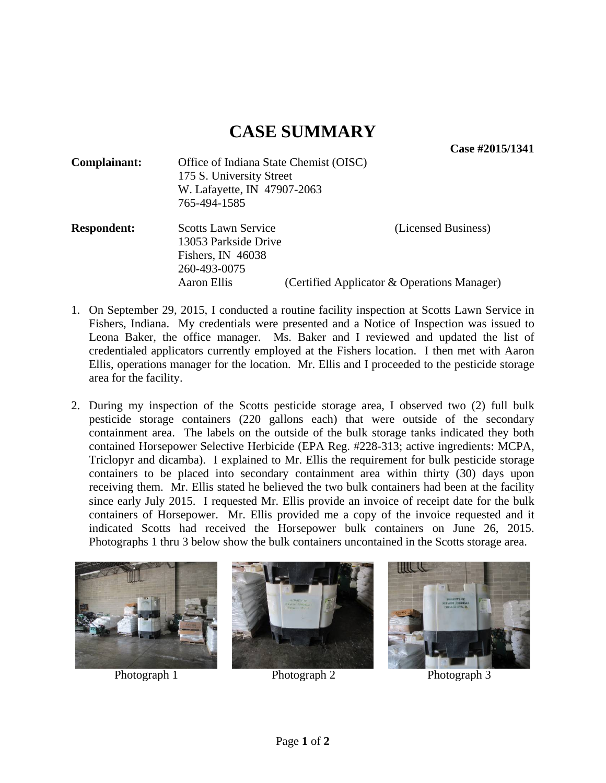## **CASE SUMMARY**

**Case #2015/1341** 

| Complainant:<br>Office of Indiana State Chemist (OISC) |                                                                         |                                             |
|--------------------------------------------------------|-------------------------------------------------------------------------|---------------------------------------------|
|                                                        | 175 S. University Street<br>W. Lafayette, IN 47907-2063<br>765-494-1585 |                                             |
|                                                        |                                                                         |                                             |
|                                                        |                                                                         |                                             |
| <b>Respondent:</b>                                     | <b>Scotts Lawn Service</b>                                              | (Licensed Business)                         |
|                                                        | 13053 Parkside Drive                                                    |                                             |
|                                                        | Fishers, IN 46038                                                       |                                             |
|                                                        | 260-493-0075                                                            |                                             |
|                                                        | Aaron Ellis                                                             | (Certified Applicator & Operations Manager) |

- 1. On September 29, 2015, I conducted a routine facility inspection at Scotts Lawn Service in Fishers, Indiana. My credentials were presented and a Notice of Inspection was issued to Leona Baker, the office manager. Ms. Baker and I reviewed and updated the list of credentialed applicators currently employed at the Fishers location. I then met with Aaron Ellis, operations manager for the location. Mr. Ellis and I proceeded to the pesticide storage area for the facility.
- 2. During my inspection of the Scotts pesticide storage area, I observed two (2) full bulk pesticide storage containers (220 gallons each) that were outside of the secondary containment area. The labels on the outside of the bulk storage tanks indicated they both contained Horsepower Selective Herbicide (EPA Reg. #228-313; active ingredients: MCPA, Triclopyr and dicamba). I explained to Mr. Ellis the requirement for bulk pesticide storage containers to be placed into secondary containment area within thirty (30) days upon receiving them. Mr. Ellis stated he believed the two bulk containers had been at the facility since early July 2015. I requested Mr. Ellis provide an invoice of receipt date for the bulk containers of Horsepower. Mr. Ellis provided me a copy of the invoice requested and it indicated Scotts had received the Horsepower bulk containers on June 26, 2015. Photographs 1 thru 3 below show the bulk containers uncontained in the Scotts storage area.